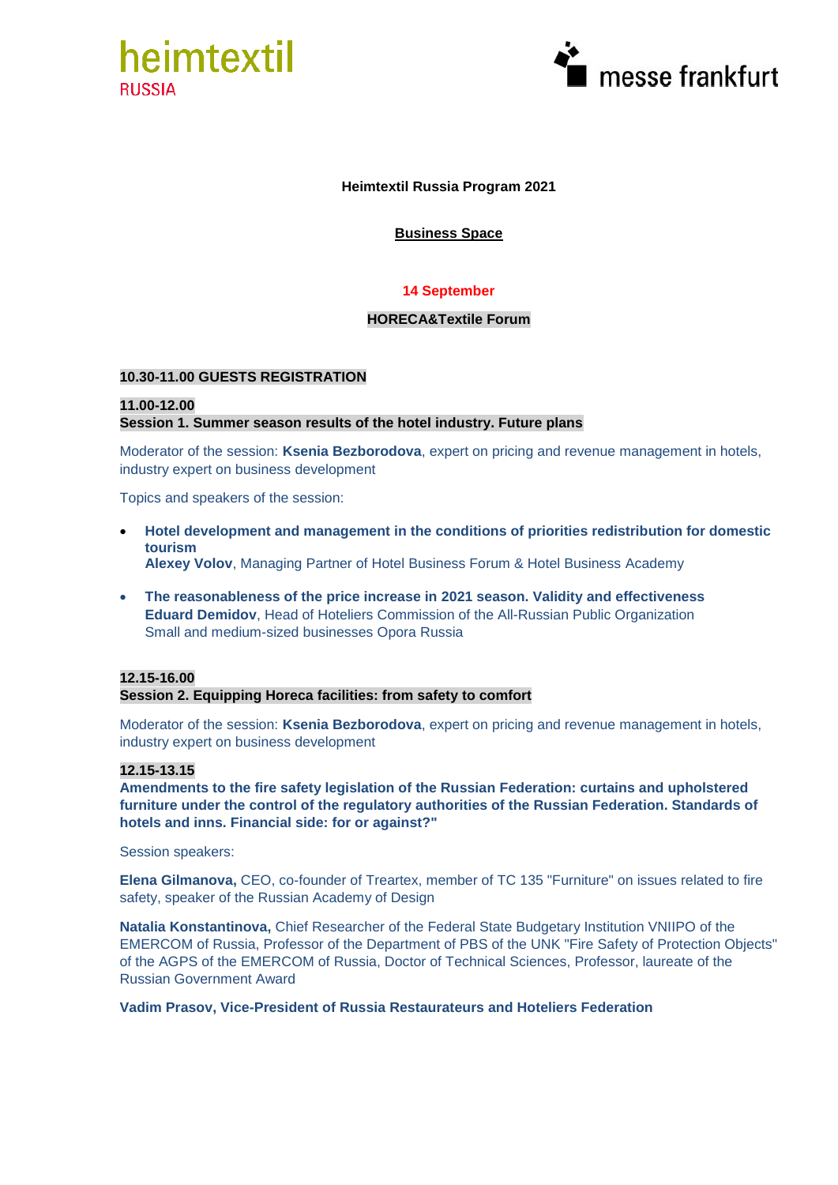



## **Heimtextil Russia Program 2021**

## **Business Space**

## **14 September**

#### **HORECA&Textile Forum**

#### **10.30-11.00 GUESTS REGISTRATION**

## **11.00-12.00 Session 1. Summer season results of the hotel industry. Future plans**

Moderator of the session: **Ksenia Bezborodova**, expert on pricing and revenue management in hotels, industry expert on business development

Topics and speakers of the session:

- **Hotel development and management in the conditions of priorities redistribution for domestic tourism Alexey Volov**, Managing Partner of Hotel Business Forum & Hotel Business Academy
- **The reasonableness of the price increase in 2021 season. Validity and effectiveness Eduard Demidov**, Head of Hoteliers Commission of the All-Russian Public Organization Small and medium-sized businesses Opora Russia

## **12.15-16.00**

#### **Session 2. Equipping Horeca facilities: from safety to comfort**

Moderator of the session: **Ksenia Bezborodova**, expert on pricing and revenue management in hotels, industry expert on business development

#### **12.15-13.15**

**Amendments to the fire safety legislation of the Russian Federation: curtains and upholstered furniture under the control of the regulatory authorities of the Russian Federation. Standards of hotels and inns. Financial side: for or against?"**

Session speakers:

**Elena Gilmanova,** CEO, co-founder of Treartex, member of TC 135 "Furniture" on issues related to fire safety, speaker of the Russian Academy of Design

**Natalia Konstantinova,** Chief Researcher of the Federal State Budgetary Institution VNIIPO of the EMERCOM of Russia, Professor of the Department of PBS of the UNK "Fire Safety of Protection Objects" of the AGPS of the EMERCOM of Russia, Doctor of Technical Sciences, Professor, laureate of the Russian Government Award

## **Vadim Prasov, Vice-President of Russia Restaurateurs and Hoteliers Federation**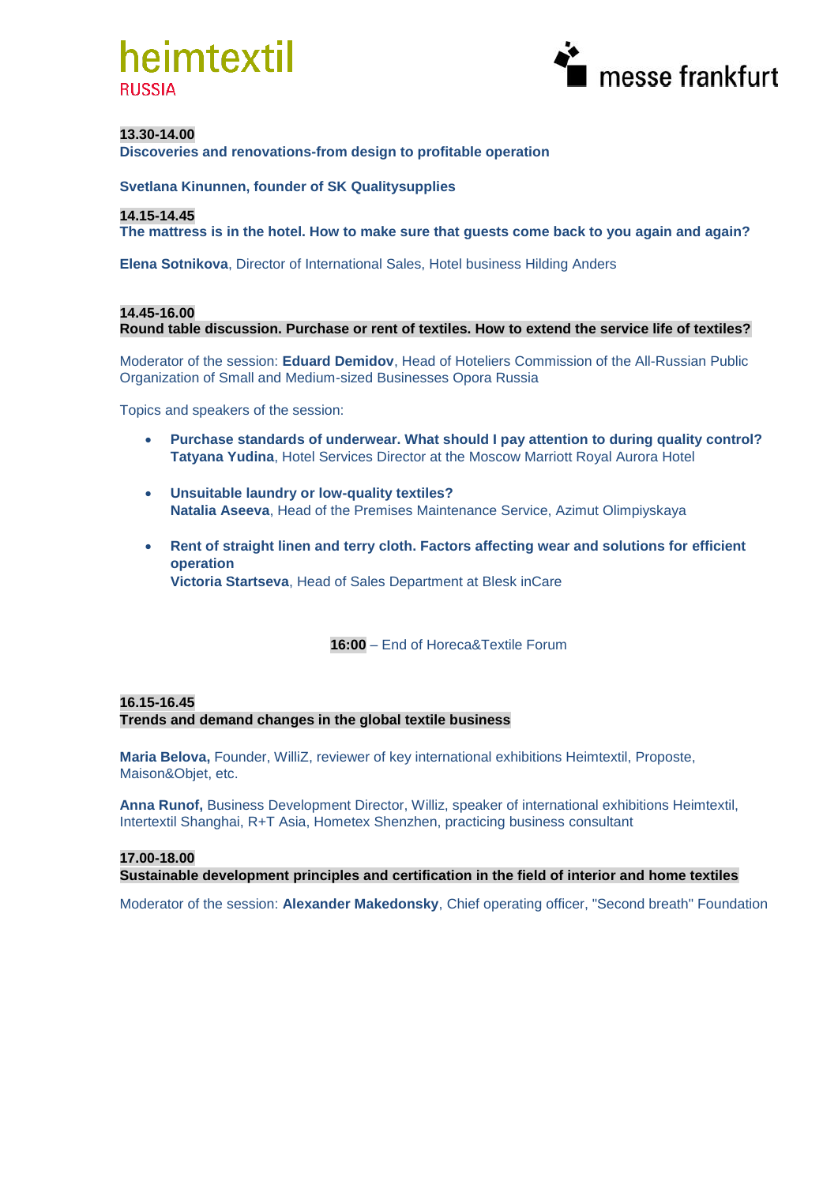



#### **13.30-14.00**

**Discoveries and renovations-from design to profitable operation**

**Svetlana Kinunnen, founder of SK Qualitysupplies**

#### **14.15-14.45**

**The mattress is in the hotel. How to make sure that guests come back to you again and again?**

**Elena Sotnikova**, Director of International Sales, Hotel business Hilding Anders

#### **14.45-16.00 Round table discussion. Purchase or rent of textiles. How to extend the service life of textiles?**

Moderator of the session: **Eduard Demidov**, Head of Hoteliers Commission of the All-Russian Public Organization of Small and Medium-sized Businesses Opora Russia

Topics and speakers of the session:

- **Purchase standards of underwear. What should I pay attention to during quality control? Tatyana Yudina**, Hotel Services Director at the Moscow Marriott Royal Aurora Hotel
- **Unsuitable laundry or low-quality textiles? Natalia Aseeva**, Head of the Premises Maintenance Service, Azimut Olimpiyskaya
- **Rent of straight linen and terry cloth. Factors affecting wear and solutions for efficient operation Victoria Startseva**, Head of Sales Department at Blesk inCare

**16:00** – End of Horeca&Textile Forum

## **16.15-16.45**

**Trends and demand changes in the global textile business**

**Maria Belova,** Founder, WilliZ, reviewer of key international exhibitions Heimtextil, Proposte, Maison&Objet, etc.

**Anna Runof,** Business Development Director, Williz, speaker of international exhibitions Heimtextil, Intertextil Shanghai, R+T Asia, Hometex Shenzhen, practicing business consultant

## **17.00-18.00**

**Sustainable development principles and certification in the field of interior and home textiles**

Moderator of the session: **Alexander Makedonsky**, Chief operating officer, "Second breath" Foundation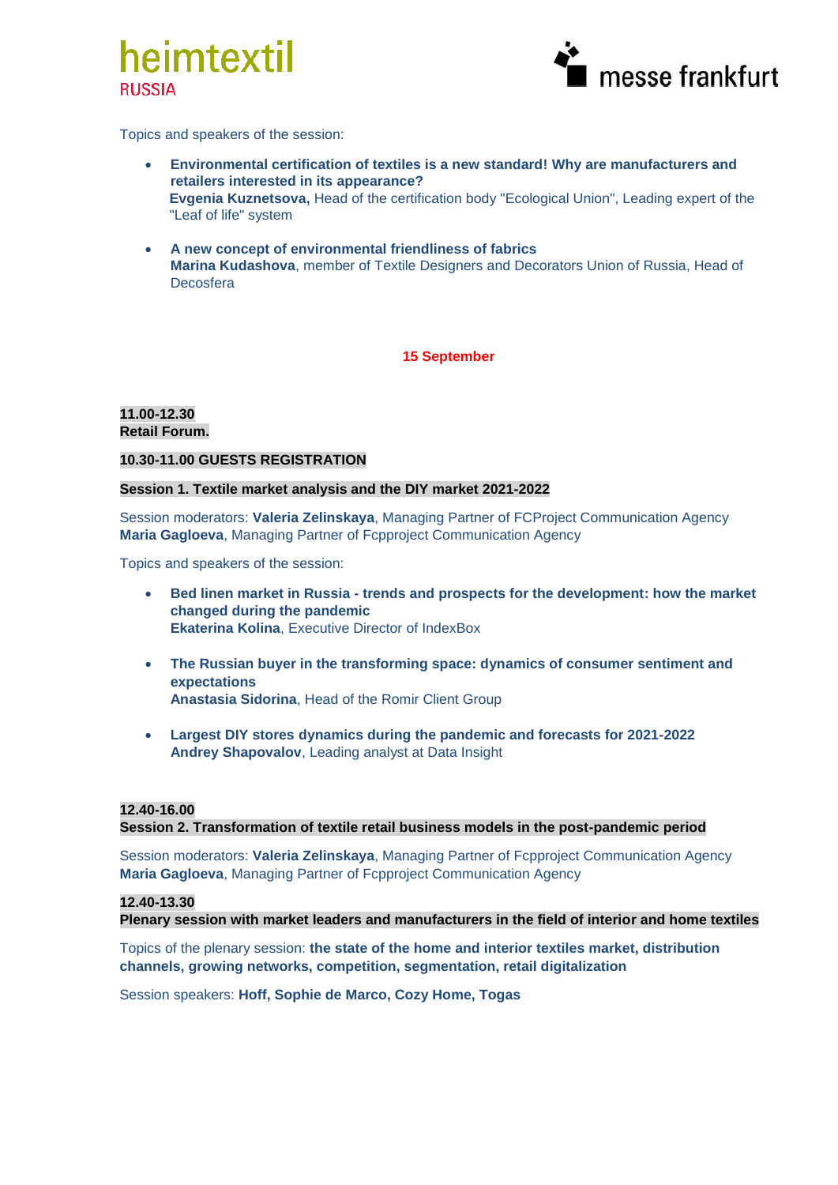



Topics and speakers of the session:

- **Environmental certification of textiles is a new standard! Why are manufacturers and retailers interested in its appearance? Evgenia Kuznetsova,** Head of the certification body "Ecological Union", Leading expert of the "Leaf of life" system
- **A new concept of environmental friendliness of fabrics Marina Kudashova**, member of Textile Designers and Decorators Union of Russia, Head of Decosfera

**15 September**

#### **11.00-12.30 Retail Forum.**

## **10.30-11.00 GUESTS REGISTRATION**

## **Session 1. Textile market analysis and the DIY market 2021-2022**

Session moderators: **Valeria Zelinskaya**, Managing Partner of FCProject Communication Agency **Maria Gagloeva**, Managing Partner of Fcpproject Communication Agency

Topics and speakers of the session:

- **Bed linen market in Russia - trends and prospects for the development: how the market changed during the pandemic Ekaterina Kolina**, Executive Director of IndexBox
- **The Russian buyer in the transforming space: dynamics of consumer sentiment and expectations Anastasia Sidorina**, Head of the Romir Client Group
- **Largest DIY stores dynamics during the pandemic and forecasts for 2021-2022 Andrey Shapovalov**, Leading analyst at Data Insight

# **12.40-16.00**

**Session 2. Transformation of textile retail business models in the post-pandemic period**

Session moderators: **Valeria Zelinskaya**, Managing Partner of Fcpproject Communication Agency **Maria Gagloeva**, Managing Partner of Fcpproject Communication Agency

# **12.40-13.30**

**Plenary session with market leaders and manufacturers in the field of interior and home textiles**

Topics of the plenary session: **the state of the home and interior textiles market, distribution channels, growing networks, competition, segmentation, retail digitalization**

Session speakers: **Hoff, Sophie de Marco, Cozy Home, Togas**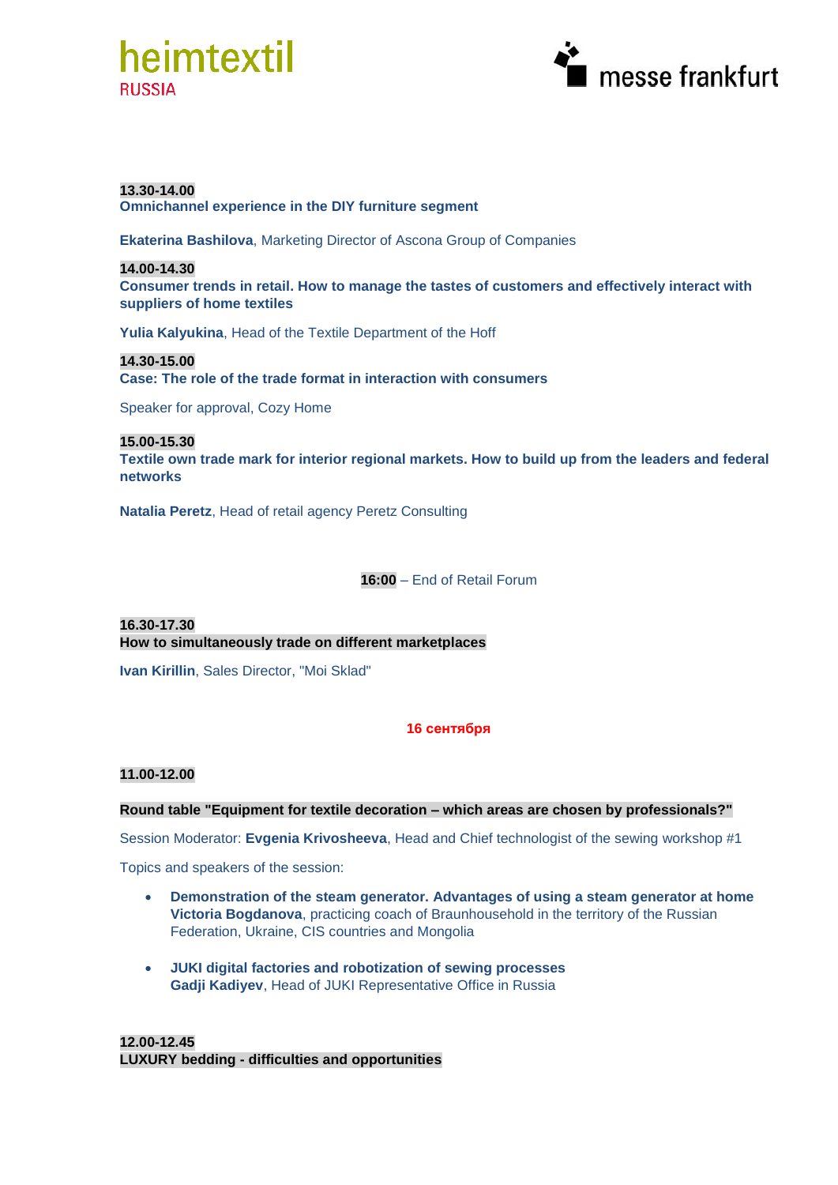



## **13.30-14.00**

**Omnichannel experience in the DIY furniture segment**

**Ekaterina Bashilova**, Marketing Director of Ascona Group of Companies

### **14.00-14.30**

**Consumer trends in retail. How to manage the tastes of customers and effectively interact with suppliers of home textiles**

**Yulia Kalyukina**, Head of the Textile Department of the Hoff

**14.30-15.00 Case: The role of the trade format in interaction with consumers**

Speaker for approval, Cozy Home

**15.00-15.30**

**Textile own trade mark for interior regional markets. How to build up from the leaders and federal networks**

**Natalia Peretz**, Head of retail agency Peretz Consulting

**16:00** – End of Retail Forum

**16.30-17.30 How to simultaneously trade on different marketplaces**

**Ivan Kirillin**, Sales Director, "Moi Sklad"

# **16 сентября**

#### **11.00-12.00**

#### **Round table "Equipment for textile decoration – which areas are chosen by professionals?"**

Session Moderator: **Evgenia Krivosheeva**, Head and Chief technologist of the sewing workshop #1

Topics and speakers of the session:

- **Demonstration of the steam generator. Advantages of using a steam generator at home Victoria Bogdanova**, practicing coach of Braunhousehold in the territory of the Russian Federation, Ukraine, CIS countries and Mongolia
- **JUKI digital factories and robotization of sewing processes Gadji Kadiyev**, Head of JUKI Representative Office in Russia

**12.00-12.45 LUXURY bedding - difficulties and opportunities**